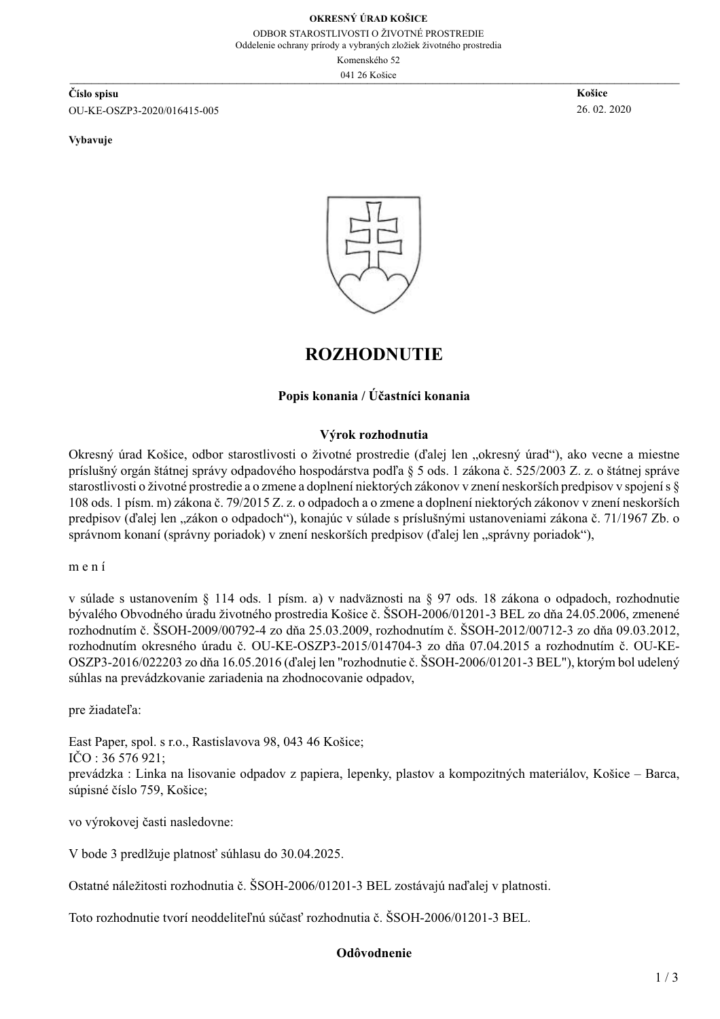Oddelenie ochrany prírody a vybraných zložiek životného prostredia

Komenského 52

041 26 Košice

Číslo spisu OU-KE-OSZP3-2020/016415-005

Vybavuje

Košice 26.02.2020



### **ROZHODNUTIE**

#### Popis konania / Účastníci konania

#### Výrok rozhodnutia

Okresný úrad Košice, odbor starostlivosti o životné prostredie (ďalej len "okresný úrad"), ako vecne a miestne príslušný orgán štátnej správy odpadového hospodárstva podľa § 5 ods. 1 zákona č. 525/2003 Z. z. o štátnej správe starostlivosti o životné prostredie a o zmene a doplnení niektorých zákonov v znení neskorších predpisov v spojení s § 108 ods. 1 písm. m) zákona č. 79/2015 Z. z. o odpadoch a o zmene a doplnení niektorých zákonov v znení neskorších predpisov (ďalej len "zákon o odpadoch"), konajúc v súlade s príslušnými ustanoveniami zákona č. 71/1967 Zb. o správnom konaní (správny poriadok) v znení neskorších predpisov (ďalej len "správny poriadok"),

 $m$ ení

v súlade s ustanovením § 114 ods. 1 písm. a) v nadväznosti na § 97 ods. 18 zákona o odpadoch, rozhodnutie bývalého Obvodného úradu životného prostredia Košice č. ŠSOH-2006/01201-3 BEL zo dňa 24.05.2006, zmenené rozhodnutím č. ŠSOH-2009/00792-4 zo dňa 25.03.2009, rozhodnutím č. ŠSOH-2012/00712-3 zo dňa 09.03.2012, rozhodnutím okresného úradu č. OU-KE-OSZP3-2015/014704-3 zo dňa 07.04.2015 a rozhodnutím č. OU-KE-OSZP3-2016/022203 zo dňa 16.05.2016 (ďalej len "rozhodnutie č. ŠSOH-2006/01201-3 BEL"), ktorým bol udelený súhlas na prevádzkovanie zariadenia na zhodnocovanie odpadov,

pre žiadateľa:

East Paper, spol. s r.o., Rastislavova 98, 043 46 Košice;  $\rm ICO$ : 36 576 921: prevádzka: Linka na lisovanie odpadov z papiera, lepenky, plastov a kompozitných materiálov, Košice – Barca, súpisné číslo 759, Košice;

vo výrokovej časti nasledovne:

V bode 3 predlžuje platnosť súhlasu do 30.04.2025.

Ostatné náležitosti rozhodnutia č. ŠSOH-2006/01201-3 BEL zostávajú naďalej v platnosti.

Toto rozhodnutie tvorí neoddeliteľnú súčasť rozhodnutia č. ŠSOH-2006/01201-3 BEL.

#### Odôvodnenie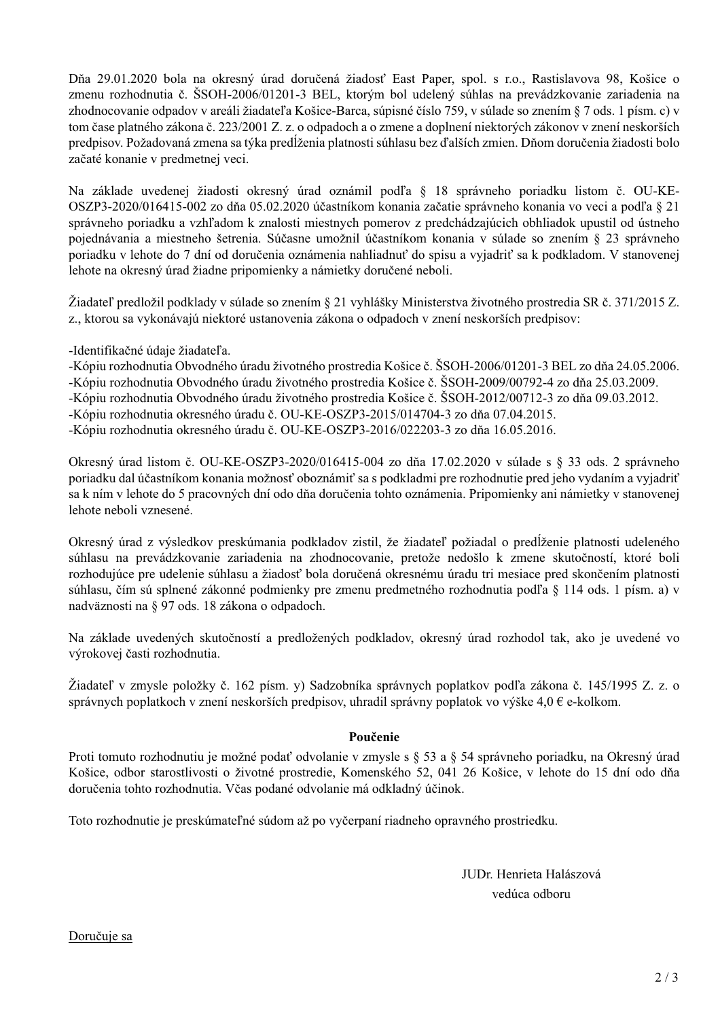Dňa 29.01.2020 bola na okresný úrad doručená žiadosť East Paper, spol. s r.o., Rastislavova 98, Košice o zmenu rozhodnutia č. ŠSOH-2006/01201-3 BEL, ktorým bol udelený súhlas na prevádzkovanie zariadenia na zhodnocovanie odpadov v areáli žiadateľa Košice-Barca, súpisné číslo 759, v súlade so znením § 7 ods. 1 písm. c) v tom čase platného zákona č. 223/2001 Z. z. o odpadoch a o zmene a doplnení niektorých zákonov v znení neskorších predpisov. Požadovaná zmena sa týka predĺženia platnosti súhlasu bez ďalších zmien. Dňom doručenia žiadosti bolo začaté konanie v predmetnej veci.

Na základe uvedenej žiadosti okresný úrad oznámil podľa § 18 správneho poriadku listom č. OU-KE-OSZP3-2020/016415-002 zo dňa 05.02.2020 účastníkom konania začatie správneho konania vo veci a podľa § 21 správneho poriadku a vzhľadom k znalosti miestnych pomerov z predchádzajúcich obhliadok upustil od ústneho pojednávania a miestneho šetrenia. Súčasne umožnil účastníkom konania v súlade so znením § 23 správneho poriadku v lehote do 7 dní od doručenia oznámenia nahliadnuť do spisu a vyjadriť sa k podkladom. V stanovenej lehote na okresný úrad žiadne pripomienky a námietky doručené neboli.

Žiadateľ predložil podklady v súlade so znením § 21 vyhlášky Ministerstva životného prostredia SR č. 371/2015 Z. z., ktorou sa vykonávajú niektoré ustanovenia zákona o odpadoch v znení neskorších predpisov:

-Identifikačné údaje žiadateľa.

-Kópiu rozhodnutia Obvodného úradu životného prostredia Košice č. ŠSOH-2006/01201-3 BEL zo dňa 24.05.2006.

-Kópiu rozhodnutia Obvodného úradu životného prostredia Košice č. ŠSOH-2009/00792-4 zo dňa 25.03.2009.

-Kópiu rozhodnutia Obvodného úradu životného prostredia Košice č. ŠSOH-2012/00712-3 zo dňa 09.03.2012.

-Kópiu rozhodnutia okresného úradu č. OU-KE-OSZP3-2015/014704-3 zo dňa 07.04.2015.

-Kópiu rozhodnutia okresného úradu č. OU-KE-OSZP3-2016/022203-3 zo dňa 16.05.2016.

Okresný úrad listom č. OU-KE-OSZP3-2020/016415-004 zo dňa 17.02.2020 v súlade s § 33 ods. 2 správneho poriadku dal účastníkom konania možnosť oboznámiť sa s podkladmi pre rozhodnutie pred jeho vydaním a vyjadriť sa k ním v lehote do 5 pracovných dní odo dňa doručenia tohto oznámenia. Pripomienky ani námietky v stanovenej lehote neboli vznesené.

Okresný úrad z výsledkov preskúmania podkladov zistil, že žiadateľ požiadal o predĺženie platnosti udeleného súhlasu na prevádzkovanie zariadenia na zhodnocovanie, pretože nedošlo k zmene skutočností, ktoré boli rozhodujúce pre udelenie súhlasu a žiadosť bola doručená okresnému úradu tri mesiace pred skončením platnosti súhlasu, čím sú splnené zákonné podmienky pre zmenu predmetného rozhodnutia podľa § 114 ods. 1 písm. a) v nadväznosti na § 97 ods. 18 zákona o odpadoch.

Na základe uvedených skutočností a predložených podkladov, okresný úrad rozhodol tak, ako je uvedené vo výrokovej časti rozhodnutia.

Žiadateľ v zmysle položky č. 162 písm. y) Sadzobníka správnych poplatkov podľa zákona č. 145/1995 Z. z. o správnych poplatkoch v znení neskorších predpisov, uhradil správny poplatok vo výške 4,0  $\epsilon$  e-kolkom.

#### Poučenie

Proti tomuto rozhodnutiu je možné podať odvolanie v zmysle s § 53 a § 54 správneho poriadku, na Okresný úrad Košice, odbor starostlivosti o životné prostredie, Komenského 52, 041 26 Košice, v lehote do 15 dní odo dňa doručenia tohto rozhodnutia. Včas podané odvolanie má odkladný účinok.

Toto rozhodnutie je preskúmateľné súdom až po vyčerpaní riadneho opravného prostriedku.

JUDr. Henrieta Halászová vedúca odboru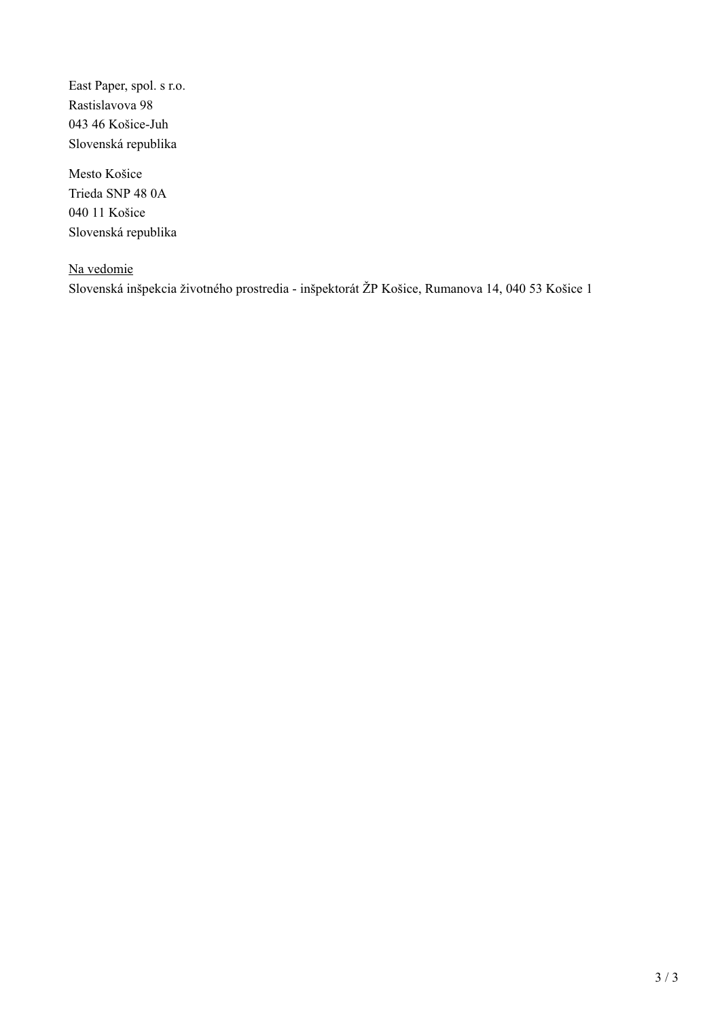East Paper, spol. s r.o. Rastislavova 98 043 46 Košice-Juh Slovenská republika

Mesto Košice Trieda SNP 48 0A 040 11 Košice Slovenská republika

Na vedomie Slovenská inšpekcia životného prostredia - inšpektorát ŽP Košice, Rumanova 14, 040 53 Košice 1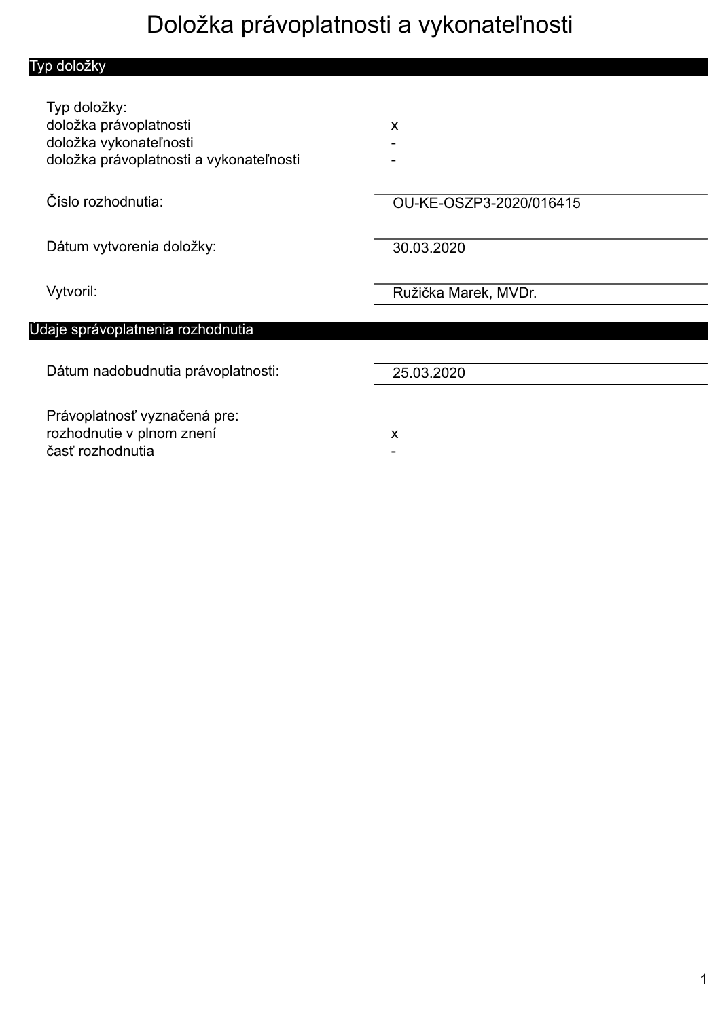# Doložka právoplatnosti a vykonateľnosti

| Typ doložky                                                                                                 |                         |
|-------------------------------------------------------------------------------------------------------------|-------------------------|
| Typ doložky:<br>doložka právoplatnosti<br>doložka vykonateľnosti<br>doložka právoplatnosti a vykonateľnosti | X                       |
| Číslo rozhodnutia:                                                                                          | OU-KE-OSZP3-2020/016415 |
| Dátum vytvorenia doložky:                                                                                   | 30.03.2020              |
| Vytvoril:                                                                                                   | Ružička Marek, MVDr.    |
| Údaje správoplatnenia rozhodnutia                                                                           |                         |
| Dátum nadobudnutia právoplatnosti:                                                                          | 25.03.2020              |
| Právoplatnosť vyznačená pre:<br>rozhodnutie v plnom znení<br>časť rozhodnutia                               | X                       |